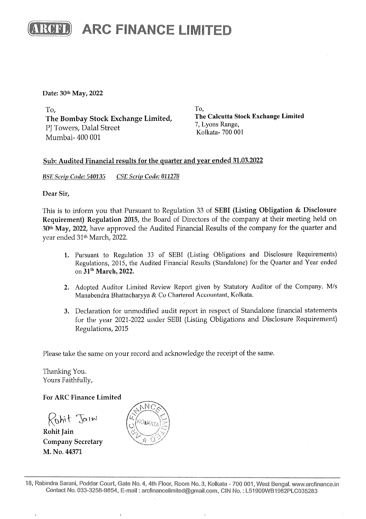

Date: 30th May, 2022

To, To, The Bombay Stock Exchange Limited, The Calcutta Stock Exchange Limited The Bombary Stock Extending Extended,<br>PJ Towers, Dalal Street Kolkata- 700 001 Mumbai- 400 001

#### Sub: Audited Financial results for the quarter and year ended 31.03.2022

BSE Serip Code: 540135 CSE Serip Code: 011278

Dear Sir,

This is to inform you that Pursuant to Regulation 33 of SEBI (Listing Obligation & Disclosure Requirement) Regulation 2015, the Board of Directors of the company at their meeting held on 30% May, 2022, have approved the Audited Financial Results of the company for the quarter and year ended 31<sup>th</sup> March, 2022. 

- 1. Pursuant to Regulation 33 of SEBI (Listing Obligations and Disclosure Requirements) Regulations, 2015, the Audited Financial Results (Standalone) for the Quarter and Year ended on 31" March, 2022.
- 2. Adopted Auditor Limited Review Report given by Statutory Auditor of the Company. M/s Manabendra Bhattacharyya & Co Chartered Accountant, Kolkata.
- 3. Declaration for unmodified audit report in respect of Standalone financial statements for the year 2021-2022 under SEBI (Listing Obligations and Disclosure Requirement) Regulations, 2015

Please take the same on your record and acknowledge the receipt of the same.

Thanking You. Yours Faithfully,

### For ARC Finance Limited

3. Declaration for uniform for the year 2021-7<br>
for the year 2021-7<br>
Regulations, 2015<br>
Please take the same on your in<br>
Thanking You.<br>
Yours Faithfully,<br>
For ARC Finance Limited<br>  $\begin{pmatrix} 0 & b_1 \\ b_1 & 1 \end{pmatrix}$ <br>
Rohit Jain<br> Kohit Jaim Rohit Jain

Company Secretary M. No. 44371



te No. 4,<br>mail : ard<br>mail : ard 18, Rabindra Sarani, Poddar Court, Gate No. 4, 4th Floor, Room No. 3, Kolkata - 700 001, West Bengal. www.arefinance.in Contact No. 033-3258-9854, E-mail : arcfinancelimited@gmail.com, CIN No. :L51908WB1982PLC035283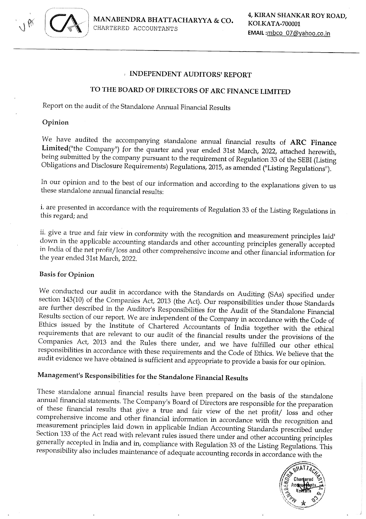

#### : INDEPENDENT AUDITORS' REPORT

## TO THE BOARD OF DIRECTORS OF ARC FINANCE LIMITED

Report on the audit of the Standalone Annual Financial Results

#### Opinion

We have audited the accompanying standalone annual financial results of **ARC Finance**<br>**Limited**("the Company") for the quarter and year ended 31st March, 2022, attached herewith,<br>being submitted by the company pursuant to

In our opinion and to the best of our information and according to the explanations given to us these standalone annual financial results:

i, are presented in accordance with the requirements of Regulation 33 of the Listing Regulations in this regard; and

ii. give a true and fair view in conformity with the recognition and measurement principles laid down in the applicable accounting standards and other accounting principles generally accepted in India of the net profit/los

#### Basis for Opinion

We conducted our audit in accordance with the Standards on Auditing (SAs) specified under section 143(10) of the Companies Act, 2013 (the Act). Our responsibilities under those Standards are further described in the Audito

## Management's Responsibilities for the Standalone Financial Results

These standalone annual financial results have been prepared on the basis of the standalone<br>annual financial statements. The Company's Board of Directors are responsible for the preparation<br>of these financial results that



 $\frac{1}{2}$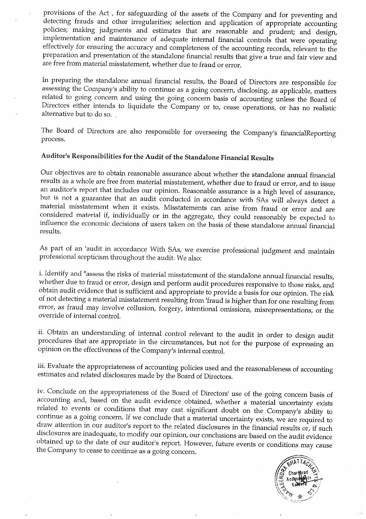provisions of the Act, for safeguarding of the assets of the Company and for preventing and detecting frauds and other irregularities; selection and application of appropriate accounting policies; making judgments and esti

In preparing the standalone annual financial results, the Board of Directors are responsible for assessing the Company's ability to continue as a going concern, disclosing, as applicable, matters related to going concern a

The Board of Directors are also responsible for overseeing the Company's financialReporting process.

## Auditor's Responsibilities for the Audit of the Standalone Financial Results

Our objectives are to obtain reasonable assurance about whether the standalone annual financial<br>results as a whole are free from material misstatement, whether due to fraud or error, and to issue<br>an auditor's report that i

As part of an 'audit in accordance With SAs, we exercise professional judgment and maintain professional scepticism throughout the audit. We also:

i. Identify and "assess the risks of material misstatement of the standalone annual financial results, whether due to fraud or error, design and perform audit procedures responsive to those risks, and obtain audit evidence

ii. Obtain an understanding of internal control relevant to the audit in order to design audit procedures that are appropriate in the circumstances, but not for the purpose of expressing an opinion on the effectiveness of

iii, Evaluate the appropriateness of accounting policies used and the reasonableness of accounting estimates and related disclosures made by the Board of Directors.

iv. Conclude on the appropriateness of the Board of Directors' use of the going concern basis of accounting and, based on the audit evidence obtained, whether a material uncertainty exists related to events or conditions t

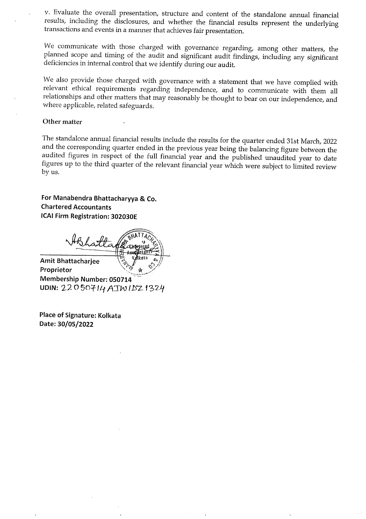v. Evaluate the overall presentation, structure and content of the standalone annual financial results, including the disclosures, and whether the financial results represent the underlying transactions and events in a man

We communicate with those charged with governance regarding, among other matters, the planned scope and timing of the audit and significant audit findings, including any significant deficiencies in internal control that we

We also provide those charged with governance with a statement that we have complied with relevant ethical requirements regarding independence, and to communicate with them all relationships and other matters that may reas

#### Other matter

The standalone annual financial results include the results for the quarter ended 31st March, 2022 and the corresponding quarter ended in the previous year being the balancing figure between the audited figures in respect

For Manabendra Bhattacharyya & Co. Chartered Accountants ICAI Firm Registration: 302030E

Chartered Accountants<br>ICAI Firm Registration: 3020<br>Amit Bhattacharjee

Amit Bhattacharjee<br>Proprietor Membership Number: 050714<br>UDIN: 22050714 ATW IDZ 1324

Place of Signature: Kolkata Date: 30/05/2022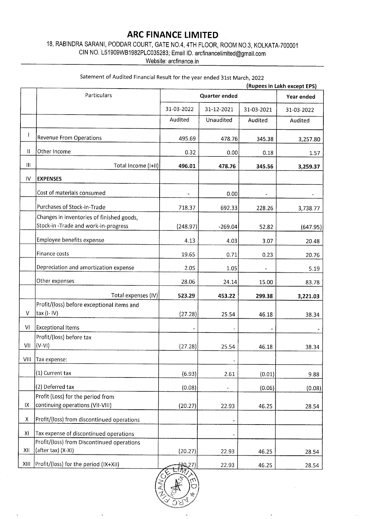# ARC FINANCE LIMITED

18, RABINDRA SARANI, PODDAR COURT, GATE NO.4, 4TH FLOOR, ROOM NO.3, KOLKATA-700001 **ARC FINAN**<br>18, RABINDRA SARANI, PODDAR COURT, GATE I<br>CIN NO. L51909WB1982PLC035283;<br>Website: a

|                                    |                                                                                                                                                            | <b>ARC FINANCE LIMITED</b> |                  |            |                                           |
|------------------------------------|------------------------------------------------------------------------------------------------------------------------------------------------------------|----------------------------|------------------|------------|-------------------------------------------|
|                                    | 18, RABINDRA SARANI, PODDAR COURT, GATE NO.4, 4TH FLOOR, ROOM NO.3, KOLKATA-700001<br>CIN NO. L51909WB1982PLC035283; Email ID. arcfinancelimited@gmail.com |                            |                  |            |                                           |
|                                    |                                                                                                                                                            | Website: arcfinance in     |                  |            |                                           |
|                                    | Satement of Audited Financial Result for the year ended 31st March, 2022                                                                                   |                            |                  |            |                                           |
|                                    | Particulars                                                                                                                                                |                            | Quarter ended    |            | (Rupees in Lakh except EPS)<br>Year ended |
|                                    |                                                                                                                                                            | 31-03-2022                 | 31-12-2021       | 31-03-2021 | 31-03-2022                                |
|                                    |                                                                                                                                                            | Audited                    | <b>Unaudited</b> | Audited    | Audited                                   |
| $\mathbf{I}$                       |                                                                                                                                                            |                            |                  |            |                                           |
|                                    | <b>Revenue From Operations</b>                                                                                                                             | 495.69                     | 478.76           | 345.38     | 3,257.80                                  |
| Ħ                                  | Other Income                                                                                                                                               | 0.32                       | 0.00             | 0.18       | 1.57                                      |
| $\begin{array}{c} \Pi \end{array}$ | Total Income (I+II)                                                                                                                                        | 496.01                     | 478.76           | 345.56     | 3,259.37                                  |
| IV                                 | <b>EXPENSES</b>                                                                                                                                            |                            |                  |            |                                           |
|                                    | Cost of materials consumed                                                                                                                                 |                            | 0.00             |            |                                           |
|                                    | Purchases of Stock-in-Trade                                                                                                                                | 718.37                     | 692.33           | 228.26     | 3,738.77                                  |
|                                    | Changes in inventories of finished goods,<br>Stock-in-Trade and work-in-progress                                                                           | (248.97)                   | $-269.04$        | 52.82      | (647.95)                                  |
|                                    | Employee benefits expense                                                                                                                                  | 4.13                       | 4.03             | 3.07       | 20.48                                     |
|                                    | Finance costs                                                                                                                                              | 19.65                      | 0.71             | 0.23       | 20.76                                     |
|                                    | Depreciation and amortization expense                                                                                                                      | 2.05                       | 1.05             |            | 5.19                                      |
|                                    | Other expenses                                                                                                                                             | 28.06                      | 24.14            | 15.00      | 83.78                                     |
|                                    | Total expenses (IV)                                                                                                                                        | 523.29                     | 453.22           | 299.38     | 3,221.03                                  |
|                                    | Profit/(loss) before exceptional items and                                                                                                                 |                            |                  |            |                                           |
| V                                  | tax (I- IV)                                                                                                                                                | (27.28)                    | 25.54            | 46.18      | 38.34                                     |
| VI                                 | <b>Exceptional Items</b><br>Profit/(loss) before tax                                                                                                       |                            |                  |            |                                           |
| VII                                | $(V-VI)$                                                                                                                                                   | (27.28)                    | 25.54            | 46.18      | 38.34                                     |
| VIII                               | Tax expense:                                                                                                                                               |                            |                  |            |                                           |
|                                    | (1) Current tax                                                                                                                                            | (6.93)                     | 2.61             | (0.01)     | 9.88                                      |
|                                    | (2) Deferred tax                                                                                                                                           | (0.08)                     | ä,               | (0.06)     | (0.08)                                    |
|                                    | Profit (Loss) for the period from                                                                                                                          |                            |                  |            |                                           |
| IX                                 | continuing operations (VII-VIII)                                                                                                                           | (20.27)                    | 22.93            | 46.25      | 28.54                                     |
| Χ                                  | Profit/(loss) from discontinued operations                                                                                                                 |                            | $\blacksquare$   |            |                                           |
| XI                                 | Tax expense of discontinued operations<br>Profit/(loss) from Discontinued operations                                                                       |                            |                  |            |                                           |
| XII                                | (after tax) (X-XI)                                                                                                                                         | (20.27)                    | 22.93            | 46.25      | 28.54                                     |
| XIII                               | Profit/(loss) for the period (IX+XII)                                                                                                                      | 20,27)                     | 22.93            | 46.25      | 28.54                                     |

## Satement of Audited Financial Result for the year ended 31st March, 2022

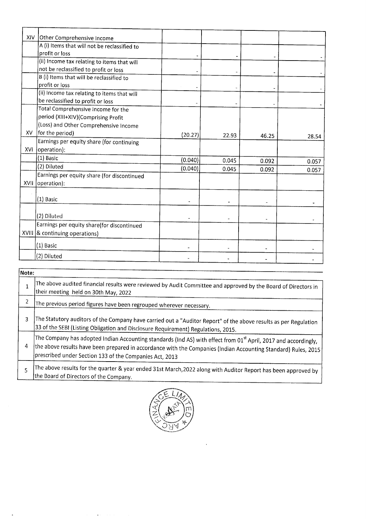| XIV            | Other Comprehensive Income                                                                                                                                                                                                                    |         |                |       |       |
|----------------|-----------------------------------------------------------------------------------------------------------------------------------------------------------------------------------------------------------------------------------------------|---------|----------------|-------|-------|
|                | A (i) Items that will not be reclassified to<br>profit or loss                                                                                                                                                                                |         |                |       |       |
|                | (ii) Income tax relating to items that will                                                                                                                                                                                                   |         |                |       |       |
|                | not be reclassified to profit or loss<br>B (i) Items that will be reclassified to                                                                                                                                                             |         |                |       |       |
|                | profit or loss                                                                                                                                                                                                                                |         |                |       |       |
|                | (ii) Income tax relating to items that will<br>be reclassified to profit or loss                                                                                                                                                              |         |                |       |       |
|                | Total Comprehensive Income for the                                                                                                                                                                                                            |         |                |       |       |
|                | period (XIII+XIV)(Comprising Profit<br>(Loss) and Other Comprehensive Income                                                                                                                                                                  |         |                |       |       |
| XV             | for the period)                                                                                                                                                                                                                               | (20.27) | 22.93          | 46.25 | 28.54 |
| XVI            | Earnings per equity share (for continuing<br>operation):                                                                                                                                                                                      |         |                |       |       |
|                | (1) Basic                                                                                                                                                                                                                                     | (0.040) | 0.045          | 0.092 | 0.057 |
|                | (2) Diluted                                                                                                                                                                                                                                   | (0.040) | 0.045          | 0.092 | 0.057 |
| XVII           | Earnings per equity share (for discontinued<br>operation):                                                                                                                                                                                    |         |                |       |       |
|                |                                                                                                                                                                                                                                               |         |                |       |       |
|                | (1) Basic                                                                                                                                                                                                                                     |         |                |       |       |
|                | (2) Diluted                                                                                                                                                                                                                                   |         |                |       |       |
|                | Earnings per equity share(for discontinued<br>XVIII   & continuing operations)                                                                                                                                                                |         |                |       |       |
|                | (1) Basic                                                                                                                                                                                                                                     |         |                |       |       |
|                | (2) Diluted                                                                                                                                                                                                                                   |         | $\blacksquare$ |       |       |
|                |                                                                                                                                                                                                                                               |         |                |       |       |
| Note:          |                                                                                                                                                                                                                                               |         |                |       |       |
| $\mathbf{1}$   | The above audited financial results were reviewed by Audit Committee and approved by the Board of Directors in<br>their meeting held on 30th May, 2022                                                                                        |         |                |       |       |
| $\overline{c}$ | The previous period figures have been regrouped wherever necessary.                                                                                                                                                                           |         |                |       |       |
| 3              | The Statutory auditors of the Company have carried out a "Auditor Report" of the above results as per Regulation<br>33 of the SEBI (Listing Obligation and Disclosure Requirement) Regulations, 2015.                                         |         |                |       |       |
| 4              | The Company has adopted Indian Accounting standards (Ind AS) with effect from 01 <sup>st</sup> April, 2017 and accordingly,<br>the above results have been prepared in accordance with the Companies (Indian Accounting Standard) Rules, 2015 |         |                |       |       |
| 5              | prescribed under Section 133 of the Companies Act, 2013<br>The above results for the quarter & year ended 31st March, 2022 along with Auditor Report has been approved by                                                                     |         |                |       |       |
|                | the Board of Directors of the Company.                                                                                                                                                                                                        |         |                |       |       |

| Note: |                                                                                                                                                                                                                                                                                                          |
|-------|----------------------------------------------------------------------------------------------------------------------------------------------------------------------------------------------------------------------------------------------------------------------------------------------------------|
|       |                                                                                                                                                                                                                                                                                                          |
|       | The above audited financial results were reviewed by Audit Committee and approved by the Board of Directors in<br>their meeting held on 30th May, 2022                                                                                                                                                   |
| 2     | The previous period figures have been regrouped wherever necessary.                                                                                                                                                                                                                                      |
| 3     | The Statutory auditors of the Company have carried out a "Auditor Report" of the above results as per Regulation<br>33 of the SEBI (Listing Obligation and Disclosure Requirement) Regulations, 2015.                                                                                                    |
| 4     | The Company has adopted Indian Accounting standards (Ind AS) with effect from 01 <sup>st</sup> April, 2017 and accordingly,<br>the above results have been prepared in accordance with the Companies (Indian Accounting Standard) Rules, 2015<br>prescribed under Section 133 of the Companies Act, 2013 |
| 5     | The above results for the quarter & year ended 31st March,2022 along with Auditor Report has been approved by<br>the Board of Directors of the Company.                                                                                                                                                  |



 $\Delta$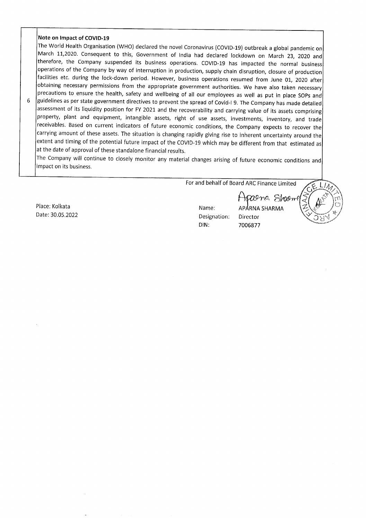#### Note on Impact of COVID-19

The World Health Organisation (WHO) declared the novel Coronavirus (COVID-19) outbreak a global pandemic on March 11,2020. Consequent to this, Government of India had declared lockdown on March 23, 2020 and therefore, the obtaining necessary permissions from the appropriate government authorities. We have also taken necessary<br>precautions to ensure the health, safety and wellbeing of all our employees as well as put in place SOPs and guidelines as per state government directives to prevent the spread of Covid-19. The Company has made detailed assessment of its liquidity position for FY 2021 and the recoverability and carrying value of its assets compri Note on Impact of COVID-19<br>
The World Health Organisation (WHO) declared the Intervold Health Organisation to this, Government<br>
therefore, the Company suspended its business<br>
operations of the Company suspended its busines

The Company will continue to closely monitor any material changes arising of future economic conditions and impact on its business.

For and behalf of Board ARC Finance Limited

Date: 30.05.2022 Designation: Director DIN: 7006877

29ng Shanne Place: Kolkata Name: APARNA SHARMA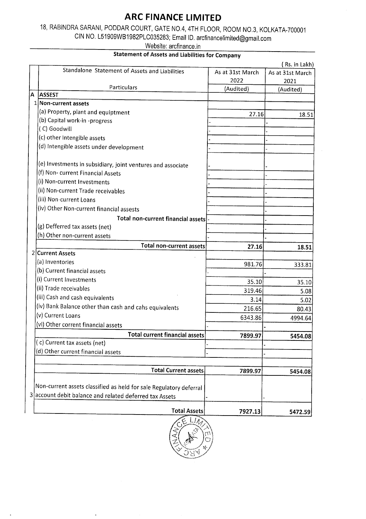# ARC FINANCE LIMITED

# 18, RABINDRA SARANI, PODDAR COURT, GATE NO.4, 4TH FLOOR, ROOM NO.3, KOLKATA-700001 ARC FINAN<br>18, RABINDRA SARANI, PODDAR COURT, GATE<br>CIN NO. L51909WB1982PLC035283;<br>Website: a

## Statement of Assets and Liabilities for Company

| <b>ARC FINANCE LIMITED</b>                                                                     |                   |                          |
|------------------------------------------------------------------------------------------------|-------------------|--------------------------|
| 18, RABINDRA SARANI, PODDAR COURT, GATE NO.4, 4TH FLOOR, ROOM NO.3, KOLKATA-700001             |                   |                          |
| CIN NO. L51909WB1982PLC035283; Email ID. arcfinancelimited@gmail.com<br>Website: arcfinance.in |                   |                          |
| <b>Statement of Assets and Liabilities for Company</b>                                         |                   |                          |
|                                                                                                |                   | (Rs. in Lakh)            |
| Standalone Statement of Assets and Liabilities                                                 | As at 31st March  | As at 31st March         |
| Particulars                                                                                    | 2022<br>(Audited) | 2021<br>(Audited)        |
| A<br><b>ASSEST</b>                                                                             |                   |                          |
| 1 Non-current assets                                                                           |                   |                          |
| (a) Property, plant and equiptment<br>(b) Capital work-in -progress                            | 27.16             | 18.51                    |
| (C) Goodwill                                                                                   |                   |                          |
| (c) other Intengible assets                                                                    |                   |                          |
| (d) Intengible assets under development                                                        |                   |                          |
| (e) Investments in subsidiary, joint ventures and associate                                    |                   |                          |
| (f) Non-current Financial Assets                                                               |                   |                          |
| (i) Non-current Investments                                                                    |                   |                          |
| (ii) Non-current Trade receivables                                                             |                   |                          |
| (iii) Non-current Loans<br>(iv) Other Non-current financial assests                            |                   |                          |
| Total non-current financial assets!                                                            |                   |                          |
| (g) Defferred tax assets (net)                                                                 |                   |                          |
| (h) Other non-current assets                                                                   |                   |                          |
| <b>Total non-current assets</b>                                                                | 27.16             | 18.51                    |
|                                                                                                |                   |                          |
|                                                                                                | 981.76            | 333.81                   |
| (a) Inventories                                                                                |                   | 35.10                    |
| (b) Current financial assets<br>(i) Current Investments                                        | 35.10             | 5.08                     |
| 2 Current Assets<br>(ii) Trade receivables                                                     | 319.46            |                          |
| (iii) Cash and cash equivalents                                                                | 3.14              |                          |
| (iv) Bank Balance other than cash and cahs equivalents                                         | 216.65            |                          |
| (v) Current Loans                                                                              | 6343.86           |                          |
| (vi) Other corrent financial assets<br>Total current financial assets                          | 7899.97           | 5.02<br>80.43<br>4994.64 |
| (c) Current tax assets (net)                                                                   |                   |                          |
| (d) Other current financial assets                                                             |                   |                          |
|                                                                                                |                   |                          |
| <b>Total Current assets</b>                                                                    | 7899.97           |                          |
| Non-current assets classified as held for sale Regulatory deferral                             |                   | 5454.08<br>5454.08       |
| 3 account debit balance and related deferred tax Assets                                        |                   |                          |
| <b>Total Assets</b>                                                                            | 7927.13           | 5472.59                  |



 $\ddot{\phantom{a}}$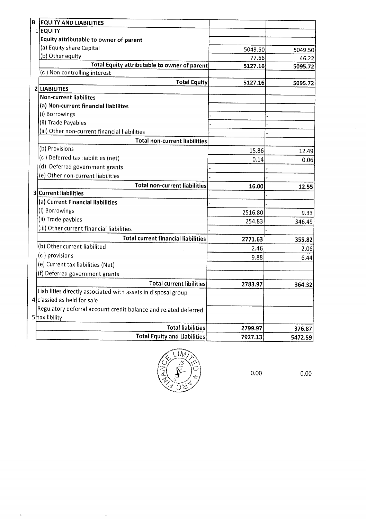| <b>B</b> EQUITY AND LIABILITIES                                                                  |                  |                  |
|--------------------------------------------------------------------------------------------------|------------------|------------------|
| 1 EQUITY<br>Equity attributable to owner of parent                                               |                  |                  |
| (a) Equity share Capital                                                                         | 5049.50          | 5049.50          |
| (b) Other equity<br>Total Equity attributable to owner of parent                                 | 77.66<br>5127.16 | 46.22<br>5095.72 |
| (c) Non controlling interest                                                                     |                  |                  |
| <b>Total Equity</b><br>2 LIABILITIES                                                             | 5127.16          | 5095.72          |
| <b>Non-current liabilites</b><br>(a) Non-current financial liabilites                            |                  |                  |
| (i) Borrowings                                                                                   |                  |                  |
| (ii) Trade Payables<br>(iii) Other non-current financial liabilities                             |                  |                  |
| <b>Total non-current liabilities</b>                                                             |                  |                  |
| (b) Provisions<br>(c) Deferred tax liabilities (net)                                             | 15.86<br>0.14    | 12.49<br>0.06    |
| (d) Deferred government grants                                                                   |                  |                  |
| (e) Other non-current liabilities<br><b>Total non-current liabilities</b>                        | 16.00            | 12.55            |
| 3 Current liabilities                                                                            |                  |                  |
| (a) Current Financial liabilities<br>(i) Borrowings                                              | 2516.80          | 9.33             |
| (ii) Trade paybles                                                                               | 254.83           | 346.49           |
| (iii) Other current financial liabilities<br><b>Total current financial liabilities</b>          | 2771.63          | 355.82           |
| (b) Other current liabilited                                                                     | 2.46             | 2.06             |
| (c) provisions<br>(e) Current tax liabilities (Net)                                              | 9.88             | 6.44             |
| (f) Deferred government grants                                                                   |                  |                  |
| <b>Total current libilities</b><br>Liabilities directly associated with assets in disposal group | 2783.97          | 364.32           |
| 4 classied as held for sale                                                                      |                  |                  |
| Regulatory deferral account credit balance and related deferred<br>5 tax libility                |                  |                  |
| <b>Total liabilities</b>                                                                         | 2799.97          | 376.87           |
| <b>Total Equity and Liabilities</b>                                                              | 7927.13          | 5472.59          |



 $\overline{\phantom{a}}$ 

 $\ddot{\phantom{1}}$ 

 $\cdots$ 

0.00 0.00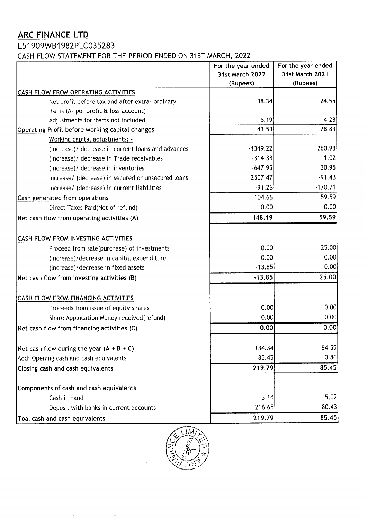# ARC FINANCE LTD

## L51909WB1982PLC035283

**ARC FINANCE LTD**<br>L51909WB1982PLC035283<br>CASH FLOW STATEMENT FOR THE PERIOD ENDED CASH FLOW STATEMENT FOR THE PERIOD ENDED ON 31ST MARCH, 2022

| <b>ARC FINANCE LTD</b><br>L51909WB1982PLC035283                                          |                                                   |                                                   |
|------------------------------------------------------------------------------------------|---------------------------------------------------|---------------------------------------------------|
| CASH FLOW STATEMENT FOR THE PERIOD ENDED ON 31ST MARCH, 2022                             |                                                   |                                                   |
|                                                                                          | For the year ended<br>31st March 2022<br>(Rupees) | For the year ended<br>31st March 2021<br>(Rupees) |
| CASH FLOW FROM OPERATING ACTIVITIES                                                      |                                                   |                                                   |
| Net profit before tax and after extra- ordinary<br>items (As per profit & loss account)  | 38.34                                             | 24.55                                             |
| Adjustments for items not included                                                       | 5.19                                              | 4.28                                              |
| Operating Profit before working capital changes                                          | 43.53                                             | 28.83                                             |
| Working capital adjustments: -<br>(Increase)/ decrease in current loans and advances     | $-1349.22$                                        | 260.93                                            |
| (Increase)/ decrease in Trade receivables                                                | $-314.38$                                         | 1.02                                              |
| (Increase)/ decrease in inventories                                                      | $-647.95$                                         | 30.95                                             |
| Increase/ (decrease) in secured or unsecured loans                                       | 2507.47                                           | $-91.43$                                          |
| Increase/ (decrease) in current liabilities<br>Cash generated from operations            | $-91.26$<br>104.66                                | $-170.71$<br>59.59                                |
| Direct Taxes Paid(Net of refund)                                                         | 0.00                                              | 0.00                                              |
| Net cash flow from operating activities (A)                                              | 148.19                                            | 59.59                                             |
|                                                                                          |                                                   |                                                   |
| CASH FLOW FROM INVESTING ACTIVITIES                                                      | 0.00                                              | 25.00                                             |
|                                                                                          | 0.00                                              | 0.00                                              |
| Proceed from sale(purchase) of investments<br>(Increase)/decrease in capital expenditure | $-13.85$                                          | 0.00                                              |
| (Increase)/decrease in fixed assets                                                      |                                                   |                                                   |
| Net cash flow from investing activities (B)                                              | $-13.85$                                          | 25.00                                             |
| <b>CASH FLOW FROM FINANCING ACTIVITIES</b>                                               |                                                   |                                                   |
| Proceeds from issue of equity shares                                                     | 0.00                                              | 0.00                                              |
| Share Applocation Money received(refund)                                                 | 0.00                                              | 0.00                                              |
| Net cash flow from financing activities (C)                                              | 0.00                                              | 0.00                                              |
|                                                                                          |                                                   | 84.59                                             |
| Net cash flow during the year $(A + B + C)$<br>Add: Opening cash and cash equivalents    | 134.34<br>85.45                                   | 0.86                                              |
| Closing cash and cash equivalents                                                        | 219.79                                            | 85.45                                             |
|                                                                                          |                                                   |                                                   |
| Components of cash and cash equivalents<br>Cash in hand                                  | 3.14                                              | 5.02                                              |
| Deposit with banks in current accounts                                                   | 216.65<br>219.79                                  | 80.43<br>85.45                                    |